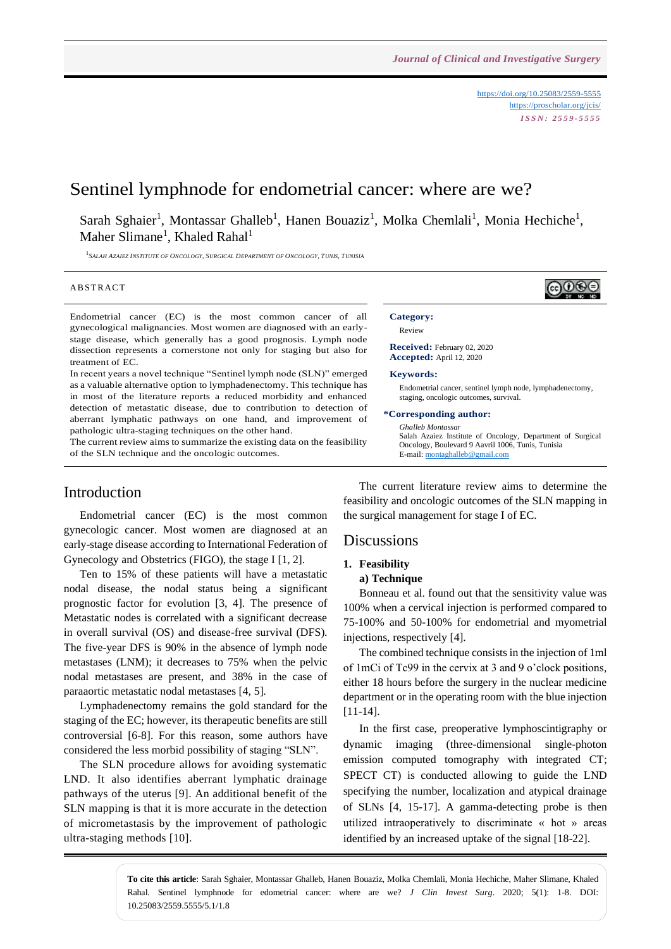<https://doi.org/10.25083/2559-5555> <https://proscholar.org/jcis/> *I S S N : 2 5 5 9 - 5 5 5 5*

# Sentinel lymphnode for endometrial cancer: where are we?

Sarah Sghaier<sup>1</sup>, Montassar Ghalleb<sup>1</sup>, Hanen Bouaziz<sup>1</sup>, Molka Chemlali<sup>1</sup>, Monia Hechiche<sup>1</sup>, Maher Slimane<sup>1</sup>, Khaled Rahal<sup>1</sup>

 $^1$ Salah Azaiez Institute of Oncology, Surgical Department of Oncology, Tunis, Tunisia

#### **ABSTRACT**

Endometrial cancer (EC) is the most common cancer of all gynecological malignancies. Most women are diagnosed with an earlystage disease, which generally has a good prognosis. Lymph node dissection represents a cornerstone not only for staging but also for treatment of EC.

In recent years a novel technique "Sentinel lymph node (SLN)" emerged as a valuable alternative option to lymphadenectomy. This technique has in most of the literature reports a reduced morbidity and enhanced detection of metastatic disease, due to contribution to detection of aberrant lymphatic pathways on one hand, and improvement of pathologic ultra-staging techniques on the other hand.

The current review aims to summarize the existing data on the feasibility of the SLN technique and the oncologic outcomes.

## Introduction

Endometrial cancer (EC) is the most common gynecologic cancer. Most women are diagnosed at an early-stage disease according to International Federation of Gynecology and Obstetrics (FIGO), the stage I [1, 2].

Ten to 15% of these patients will have a metastatic nodal disease, the nodal status being a significant prognostic factor for evolution [3, 4]. The presence of Metastatic nodes is correlated with a significant decrease in overall survival (OS) and disease-free survival (DFS). The five-year DFS is 90% in the absence of lymph node metastases (LNM); it decreases to 75% when the pelvic nodal metastases are present, and 38% in the case of paraaortic metastatic nodal metastases [4, 5].

Lymphadenectomy remains the gold standard for the staging of the EC; however, its therapeutic benefits are still controversial [6-8]. For this reason, some authors have considered the less morbid possibility of staging "SLN".

The SLN procedure allows for avoiding systematic LND. It also identifies aberrant lymphatic drainage pathways of the uterus [9]. An additional benefit of the SLN mapping is that it is more accurate in the detection of micrometastasis by the improvement of pathologic ultra-staging methods [10].

The current literature review aims to determine the feasibility and oncologic outcomes of the SLN mapping in the surgical management for stage I of EC.

Oncology, Boulevard 9 Aavril 1006, Tunis, Tunisia

E-mail[: montaghalleb@gmail.com](mailto:montaghalleb@gmail.com)

## **Discussions**

### **1. Feasibility**

### **a) Technique**

Bonneau et al. found out that the sensitivity value was 100% when a cervical injection is performed compared to 75-100% and 50-100% for endometrial and myometrial injections, respectively [4].

The combined technique consists in the injection of 1ml of 1mCi of Tc99 in the cervix at 3 and 9 o'clock positions, either 18 hours before the surgery in the nuclear medicine department or in the operating room with the blue injection [11-14].

In the first case, preoperative lymphoscintigraphy or dynamic imaging (three-dimensional single-photon emission computed tomography with integrated CT; SPECT CT) is conducted allowing to guide the LND specifying the number, localization and atypical drainage of SLNs [4, 15-17]. A gamma-detecting probe is then utilized intraoperatively to discriminate « hot » areas identified by an increased uptake of the signal [18-22].

**To cite this article**: Sarah Sghaier, Montassar Ghalleb, Hanen Bouaziz, Molka Chemlali, Monia Hechiche, Maher Slimane, Khaled Rahal. Sentinel lymphnode for edometrial cancer: where are we? *J Clin Invest Surg*. 2020; 5(1): 1-8. DOI: 10.25083/2559.5555/5.1/1.8

ெ⊕ **Category:**  Review **Received:** February 02, 2020 **Accepted:** April 12, 2020 **Keywords:**  Endometrial cancer, sentinel lymph node, lymphadenectomy, staging, oncologic outcomes, survival. **\*Corresponding author:** *Ghalleb Montassar* Salah Azaiez Institute of Oncology, Department of Surgical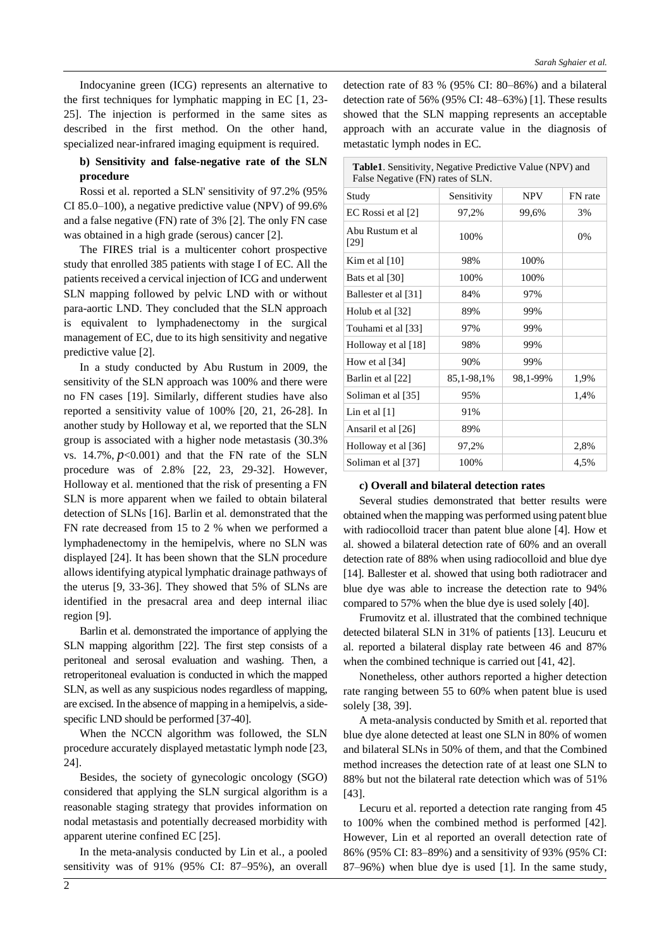Indocyanine green (ICG) represents an alternative to the first techniques for lymphatic mapping in EC [1, 23- 25]. The injection is performed in the same sites as described in the first method. On the other hand, specialized near-infrared imaging equipment is required.

### **b) Sensitivity and false-negative rate of the SLN procedure**

Rossi et al. reported a SLN' sensitivity of 97.2% (95% CI 85.0–100), a negative predictive value (NPV) of 99.6% and a false negative (FN) rate of 3% [2]. The only FN case was obtained in a high grade (serous) cancer [2].

The FIRES trial is a multicenter cohort prospective study that enrolled 385 patients with stage I of EC. All the patients received a cervical injection of ICG and underwent SLN mapping followed by pelvic LND with or without para-aortic LND. They concluded that the SLN approach is equivalent to lymphadenectomy in the surgical management of EC, due to its high sensitivity and negative predictive value [2].

In a study conducted by Abu Rustum in 2009, the sensitivity of the SLN approach was 100% and there were no FN cases [19]. Similarly, different studies have also reported a sensitivity value of 100% [20, 21, 26-28]. In another study by Holloway et al, we reported that the SLN group is associated with a higher node metastasis (30.3% vs.  $14.7\%$ ,  $p<0.001$ ) and that the FN rate of the SLN procedure was of 2.8% [22, 23, 29-32]. However, Holloway et al. mentioned that the risk of presenting a FN SLN is more apparent when we failed to obtain bilateral detection of SLNs [16]. Barlin et al. demonstrated that the FN rate decreased from 15 to 2 % when we performed a lymphadenectomy in the hemipelvis, where no SLN was displayed [24]. It has been shown that the SLN procedure allows identifying atypical lymphatic drainage pathways of the uterus [9, 33-36]. They showed that 5% of SLNs are identified in the presacral area and deep internal iliac region [9].

Barlin et al. demonstrated the importance of applying the SLN mapping algorithm [22]. The first step consists of a peritoneal and serosal evaluation and washing. Then, a retroperitoneal evaluation is conducted in which the mapped SLN, as well as any suspicious nodes regardless of mapping, are excised. In the absence of mapping in a hemipelvis, a sidespecific LND should be performed [37-40].

When the NCCN algorithm was followed, the SLN procedure accurately displayed metastatic lymph node [23, 24].

Besides, the society of gynecologic oncology (SGO) considered that applying the SLN surgical algorithm is a reasonable staging strategy that provides information on nodal metastasis and potentially decreased morbidity with apparent uterine confined EC [25].

In the meta-analysis conducted by Lin et al., a pooled sensitivity was of 91% (95% CI: 87–95%), an overall detection rate of 83 % (95% CI: 80–86%) and a bilateral detection rate of 56% (95% CI: 48–63%) [1]. These results showed that the SLN mapping represents an acceptable approach with an accurate value in the diagnosis of metastatic lymph nodes in EC.

| <b>Table1.</b> Sensitivity, Negative Predictive Value (NPV) and |
|-----------------------------------------------------------------|
| False Negative (FN) rates of SLN.                               |

| FN rate |
|---------|
|         |
| 3%      |
| 0%      |
|         |
|         |
|         |
|         |
|         |
|         |
|         |
| 1,9%    |
| 1,4%    |
|         |
|         |
| 2,8%    |
| 4,5%    |
|         |

#### **c) Overall and bilateral detection rates**

Several studies demonstrated that better results were obtained when the mapping was performed using patent blue with radiocolloid tracer than patent blue alone [4]. How et al. showed a bilateral detection rate of 60% and an overall detection rate of 88% when using radiocolloid and blue dye [14]. Ballester et al. showed that using both radiotracer and blue dye was able to increase the detection rate to 94% compared to 57% when the blue dye is used solely [40].

Frumovitz et al. illustrated that the combined technique detected bilateral SLN in 31% of patients [13]. Leucuru et al. reported a bilateral display rate between 46 and 87% when the combined technique is carried out [41, 42].

Nonetheless, other authors reported a higher detection rate ranging between 55 to 60% when patent blue is used solely [38, 39].

A meta-analysis conducted by Smith et al. reported that blue dye alone detected at least one SLN in 80% of women and bilateral SLNs in 50% of them, and that the Combined method increases the detection rate of at least one SLN to 88% but not the bilateral rate detection which was of 51% [43].

Lecuru et al. reported a detection rate ranging from 45 to 100% when the combined method is performed [42]. However, Lin et al reported an overall detection rate of 86% (95% CI: 83–89%) and a sensitivity of 93% (95% CI: 87–96%) when blue dye is used [1]. In the same study,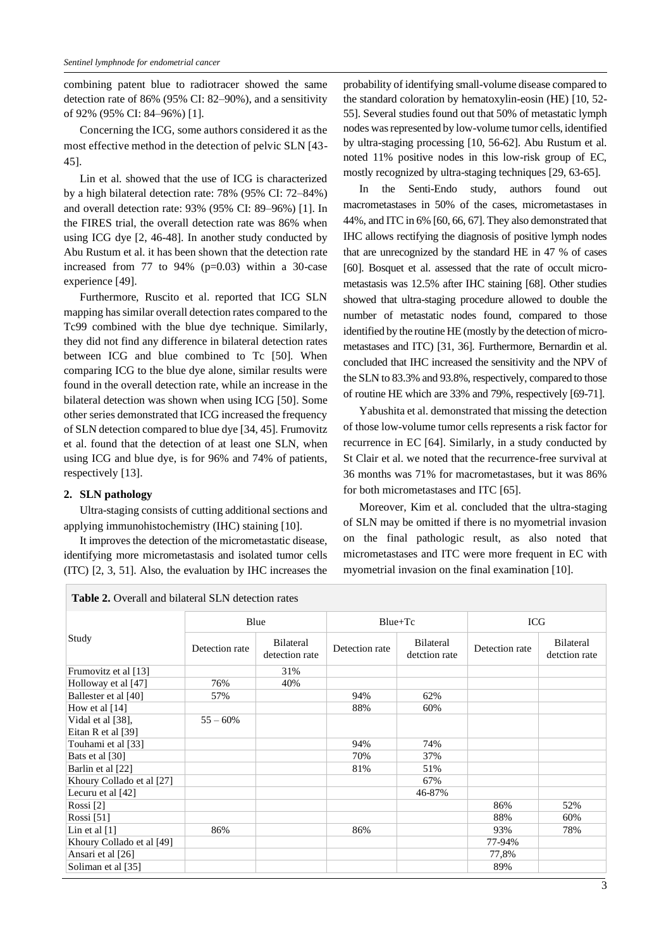combining patent blue to radiotracer showed the same detection rate of 86% (95% CI: 82–90%), and a sensitivity of 92% (95% CI: 84–96%) [1].

Concerning the ICG, some authors considered it as the most effective method in the detection of pelvic SLN [43- 45].

Lin et al. showed that the use of ICG is characterized by a high bilateral detection rate: 78% (95% CI: 72–84%) and overall detection rate: 93% (95% CI: 89–96%) [1]. In the FIRES trial, the overall detection rate was 86% when using ICG dye [2, 46-48]. In another study conducted by Abu Rustum et al. it has been shown that the detection rate increased from 77 to 94% ( $p=0.03$ ) within a 30-case experience [49].

Furthermore, Ruscito et al. reported that ICG SLN mapping has similar overall detection rates compared to the Tc99 combined with the blue dye technique. Similarly, they did not find any difference in bilateral detection rates between ICG and blue combined to Tc [50]. When comparing ICG to the blue dye alone, similar results were found in the overall detection rate, while an increase in the bilateral detection was shown when using ICG [50]. Some other series demonstrated that ICG increased the frequency of SLN detection compared to blue dye [34, 45]. Frumovitz et al. found that the detection of at least one SLN, when using ICG and blue dye, is for 96% and 74% of patients, respectively [13].

### **2. SLN pathology**

Ultra-staging consists of cutting additional sections and applying immunohistochemistry (IHC) staining [10].

It improves the detection of the micrometastatic disease, identifying more micrometastasis and isolated tumor cells (ITC) [2, 3, 51]. Also, the evaluation by IHC increases the

probability of identifying small-volume disease compared to the standard coloration by hematoxylin-eosin (HE) [10, 52- 55]. Several studies found out that 50% of metastatic lymph nodes was represented by low-volume tumor cells, identified by ultra-staging processing [10, 56-62]. Abu Rustum et al. noted 11% positive nodes in this low-risk group of EC, mostly recognized by ultra-staging techniques [29, 63-65].

In the Senti-Endo study, authors found out macrometastases in 50% of the cases, micrometastases in 44%, and ITC in 6% [60, 66, 67]. They also demonstrated that IHC allows rectifying the diagnosis of positive lymph nodes that are unrecognized by the standard HE in 47 % of cases [60]. Bosquet et al. assessed that the rate of occult micrometastasis was 12.5% after IHC staining [68]. Other studies showed that ultra-staging procedure allowed to double the number of metastatic nodes found, compared to those identified by the routine HE (mostly by the detection of micrometastases and ITC) [31, 36]. Furthermore, Bernardin et al. concluded that IHC increased the sensitivity and the NPV of the SLN to 83.3% and 93.8%, respectively, compared to those of routine HE which are 33% and 79%, respectively [69-71].

Yabushita et al. demonstrated that missing the detection of those low-volume tumor cells represents a risk factor for recurrence in EC [64]. Similarly, in a study conducted by St Clair et al. we noted that the recurrence-free survival at 36 months was 71% for macrometastases, but it was 86% for both micrometastases and ITC [65].

Moreover, Kim et al. concluded that the ultra-staging of SLN may be omitted if there is no myometrial invasion on the final pathologic result, as also noted that micrometastases and ITC were more frequent in EC with myometrial invasion on the final examination [10].

| <b>Table 2.</b> Overall and bilateral SLN detection rates |                |                             |                |                            |                |                            |  |  |
|-----------------------------------------------------------|----------------|-----------------------------|----------------|----------------------------|----------------|----------------------------|--|--|
| Study                                                     | Blue           |                             | $Blue+Tc$      |                            | ICG            |                            |  |  |
|                                                           | Detection rate | Bilateral<br>detection rate | Detection rate | Bilateral<br>detction rate | Detection rate | Bilateral<br>detction rate |  |  |
| Frumovitz et al [13]                                      |                | 31%                         |                |                            |                |                            |  |  |
| Holloway et al [47]                                       | 76%            | 40%                         |                |                            |                |                            |  |  |
| Ballester et al [40]                                      | 57%            |                             | 94%            | 62%                        |                |                            |  |  |
| How et al $[14]$                                          |                |                             | 88%            | 60%                        |                |                            |  |  |
| Vidal et al [38],                                         | $55 - 60%$     |                             |                |                            |                |                            |  |  |
| Eitan R et al $[39]$                                      |                |                             |                |                            |                |                            |  |  |
| Touhami et al [33]                                        |                |                             | 94%            | 74%                        |                |                            |  |  |
| Bats et al [30]                                           |                |                             | 70%            | 37%                        |                |                            |  |  |
| Barlin et al [22]                                         |                |                             | 81%            | 51%                        |                |                            |  |  |
| Khoury Collado et al [27]                                 |                |                             |                | 67%                        |                |                            |  |  |
| Lecuru et al $[42]$                                       |                |                             |                | 46-87%                     |                |                            |  |  |
| Rossi [2]                                                 |                |                             |                |                            | 86%            | 52%                        |  |  |
| Rossi [51]                                                |                |                             |                |                            | 88%            | 60%                        |  |  |
| Lin et al $[1]$                                           | 86%            |                             | 86%            |                            | 93%            | 78%                        |  |  |
| Khoury Collado et al [49]                                 |                |                             |                |                            | 77-94%         |                            |  |  |
| Ansari et al [26]                                         |                |                             |                |                            | 77,8%          |                            |  |  |
| Soliman et al [35]                                        |                |                             |                |                            | 89%            |                            |  |  |

 $\frac{1}{2}$  **Table 2.**  $\frac{1}{2}$   $\frac{1}{2}$   $\frac{1}{2}$   $\frac{1}{2}$   $\frac{1}{2}$   $\frac{1}{2}$   $\frac{1}{2}$   $\frac{1}{2}$   $\frac{1}{2}$   $\frac{1}{2}$   $\frac{1}{2}$   $\frac{1}{2}$   $\frac{1}{2}$   $\frac{1}{2}$   $\frac{1}{2}$   $\frac{1}{2}$   $\frac{1}{2}$   $\frac{1}{2}$   $\frac{1}{2}$   $\frac{1}{2}$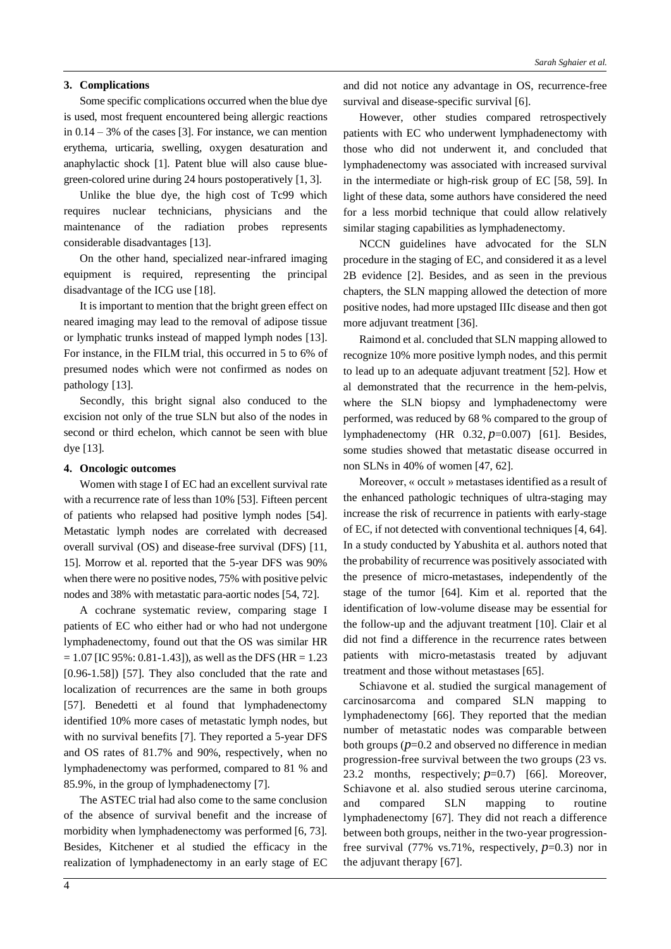### **3. Complications**

Some specific complications occurred when the blue dye is used, most frequent encountered being allergic reactions in  $0.14 - 3\%$  of the cases [3]. For instance, we can mention erythema, urticaria, swelling, oxygen desaturation and anaphylactic shock [1]. Patent blue will also cause bluegreen-colored urine during 24 hours postoperatively [1, 3].

Unlike the blue dye, the high cost of Tc99 which requires nuclear technicians, physicians and the maintenance of the radiation probes represents considerable disadvantages [13].

On the other hand, specialized near-infrared imaging equipment is required, representing the principal disadvantage of the ICG use [18].

It is important to mention that the bright green effect on neared imaging may lead to the removal of adipose tissue or lymphatic trunks instead of mapped lymph nodes [13]. For instance, in the FILM trial, this occurred in 5 to 6% of presumed nodes which were not confirmed as nodes on pathology [13].

Secondly, this bright signal also conduced to the excision not only of the true SLN but also of the nodes in second or third echelon, which cannot be seen with blue dye [13].

#### **4. Oncologic outcomes**

Women with stage I of EC had an excellent survival rate with a recurrence rate of less than 10% [53]. Fifteen percent of patients who relapsed had positive lymph nodes [54]. Metastatic lymph nodes are correlated with decreased overall survival (OS) and disease-free survival (DFS) [11, 15]. Morrow et al. reported that the 5-year DFS was 90% when there were no positive nodes, 75% with positive pelvic nodes and 38% with metastatic para-aortic nodes [54, 72].

A cochrane systematic review, comparing stage I patients of EC who either had or who had not undergone lymphadenectomy, found out that the OS was similar HR  $= 1.07$  [IC 95%: 0.81-1.43]), as well as the DFS (HR = 1.23 [0.96-1.58]) [57]. They also concluded that the rate and localization of recurrences are the same in both groups [57]. Benedetti et al found that lymphadenectomy identified 10% more cases of metastatic lymph nodes, but with no survival benefits [7]. They reported a 5-year DFS and OS rates of 81.7% and 90%, respectively, when no lymphadenectomy was performed, compared to 81 % and 85.9%, in the group of lymphadenectomy [7].

The ASTEC trial had also come to the same conclusion of the absence of survival benefit and the increase of morbidity when lymphadenectomy was performed [6, 73]. Besides, Kitchener et al studied the efficacy in the realization of lymphadenectomy in an early stage of EC and did not notice any advantage in OS, recurrence-free survival and disease-specific survival [6].

However, other studies compared retrospectively patients with EC who underwent lymphadenectomy with those who did not underwent it, and concluded that lymphadenectomy was associated with increased survival in the intermediate or high-risk group of EC [58, 59]. In light of these data, some authors have considered the need for a less morbid technique that could allow relatively similar staging capabilities as lymphadenectomy.

NCCN guidelines have advocated for the SLN procedure in the staging of EC, and considered it as a level 2B evidence [2]. Besides, and as seen in the previous chapters, the SLN mapping allowed the detection of more positive nodes, had more upstaged IIIc disease and then got more adjuvant treatment [36].

Raimond et al. concluded that SLN mapping allowed to recognize 10% more positive lymph nodes, and this permit to lead up to an adequate adjuvant treatment [52]. How et al demonstrated that the recurrence in the hem-pelvis, where the SLN biopsy and lymphadenectomy were performed, was reduced by 68 % compared to the group of lymphadenectomy (HR 0.32, *p*=0.007) [61]. Besides, some studies showed that metastatic disease occurred in non SLNs in 40% of women [47, 62].

Moreover, « occult » metastasesidentified as a result of the enhanced pathologic techniques of ultra-staging may increase the risk of recurrence in patients with early-stage of EC, if not detected with conventional techniques [4, 64]. In a study conducted by Yabushita et al. authors noted that the probability of recurrence was positively associated with the presence of micro-metastases, independently of the stage of the tumor [64]. Kim et al. reported that the identification of low-volume disease may be essential for the follow-up and the adjuvant treatment [10]. Clair et al did not find a difference in the recurrence rates between patients with micro-metastasis treated by adjuvant treatment and those without metastases [65].

Schiavone et al. studied the surgical management of carcinosarcoma and compared SLN mapping to lymphadenectomy [66]. They reported that the median number of metastatic nodes was comparable between both groups  $(p=0.2$  and observed no difference in median progression-free survival between the two groups (23 vs. 23.2 months, respectively; *p*=0.7) [66]. Moreover, Schiavone et al. also studied serous uterine carcinoma, and compared SLN mapping to routine lymphadenectomy [67]. They did not reach a difference between both groups, neither in the two-year progressionfree survival  $(77\% \text{ vs. } 71\%$ , respectively,  $p=0.3$ ) nor in the adjuvant therapy [67].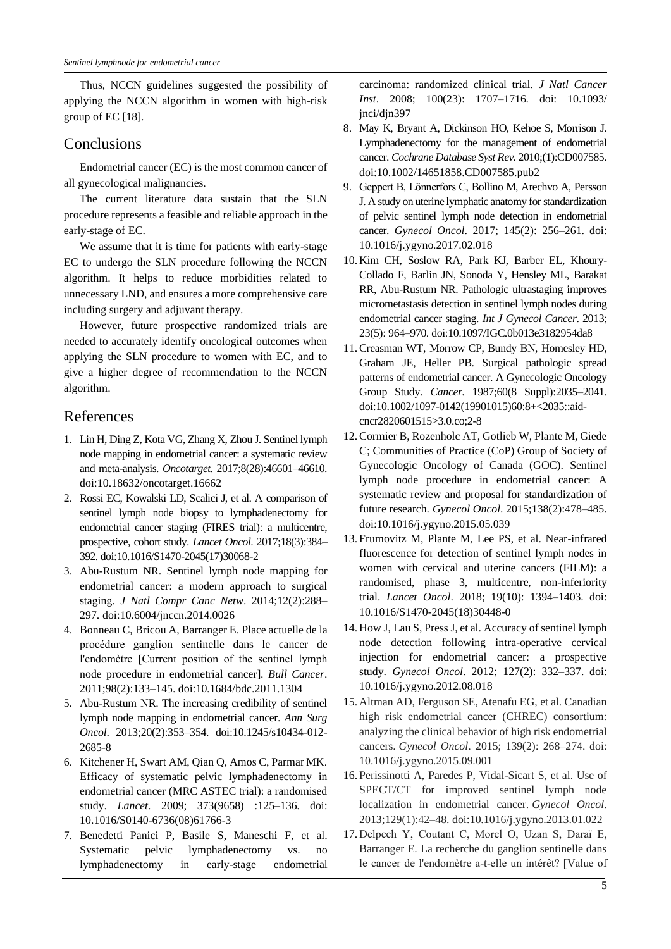Thus, NCCN guidelines suggested the possibility of applying the NCCN algorithm in women with high-risk group of EC [18].

## **Conclusions**

Endometrial cancer (EC) is the most common cancer of all gynecological malignancies.

The current literature data sustain that the SLN procedure represents a feasible and reliable approach in the early-stage of EC.

We assume that it is time for patients with early-stage EC to undergo the SLN procedure following the NCCN algorithm. It helps to reduce morbidities related to unnecessary LND, and ensures a more comprehensive care including surgery and adjuvant therapy.

However, future prospective randomized trials are needed to accurately identify oncological outcomes when applying the SLN procedure to women with EC, and to give a higher degree of recommendation to the NCCN algorithm.

## References

- 1. Lin H, Ding Z, Kota VG, Zhang X, Zhou J. Sentinel lymph node mapping in endometrial cancer: a systematic review and meta-analysis. *Oncotarget*. 2017;8(28):46601–46610. doi:10.18632/oncotarget.16662
- 2. Rossi EC, Kowalski LD, Scalici J, et al. A comparison of sentinel lymph node biopsy to lymphadenectomy for endometrial cancer staging (FIRES trial): a multicentre, prospective, cohort study. *Lancet Oncol*. 2017;18(3):384– 392. doi:10.1016/S1470-2045(17)30068-2
- 3. Abu-Rustum NR. Sentinel lymph node mapping for endometrial cancer: a modern approach to surgical staging. *J Natl Compr Canc Netw*. 2014;12(2):288– 297. doi:10.6004/jnccn.2014.0026
- 4. Bonneau C, Bricou A, Barranger E. Place actuelle de la procédure ganglion sentinelle dans le cancer de l'endomètre [Current position of the sentinel lymph node procedure in endometrial cancer]. *Bull Cancer*. 2011;98(2):133–145. doi:10.1684/bdc.2011.1304
- 5. Abu-Rustum NR. The increasing credibility of sentinel lymph node mapping in endometrial cancer. *Ann Surg Oncol*. 2013;20(2):353–354. doi:10.1245/s10434-012- 2685-8
- 6. Kitchener H, Swart AM, Qian Q, Amos C, Parmar MK. Efficacy of systematic pelvic lymphadenectomy in endometrial cancer (MRC ASTEC trial): a randomised study. *Lancet*. 2009; 373(9658) :125–136. doi: 10.1016/S0140-6736(08)61766-3
- 7. Benedetti Panici P, Basile S, Maneschi F, et al. Systematic pelvic lymphadenectomy vs. no lymphadenectomy in early-stage endometrial

carcinoma: randomized clinical trial. *J Natl Cancer Inst*. 2008; 100(23): 1707–1716. doi: 10.1093/ jnci/djn397

- 8. May K, Bryant A, Dickinson HO, Kehoe S, Morrison J. Lymphadenectomy for the management of endometrial cancer. *Cochrane Database Syst Rev*. 2010;(1):CD007585. doi:10.1002/14651858.CD007585.pub2
- 9. Geppert B, Lönnerfors C, Bollino M, Arechvo A, Persson J. A study on uterine lymphatic anatomy for standardization of pelvic sentinel lymph node detection in endometrial cancer. *Gynecol Oncol*. 2017; 145(2): 256–261. doi: 10.1016/j.ygyno.2017.02.018
- 10. Kim CH, Soslow RA, Park KJ, Barber EL, Khoury-Collado F, Barlin JN, Sonoda Y, Hensley ML, Barakat RR, Abu-Rustum NR. Pathologic ultrastaging improves micrometastasis detection in sentinel lymph nodes during endometrial cancer staging. *Int J Gynecol Cancer*. 2013; 23(5): 964–970. doi:10.1097/IGC.0b013e3182954da8
- 11. Creasman WT, Morrow CP, Bundy BN, Homesley HD, Graham JE, Heller PB. Surgical pathologic spread patterns of endometrial cancer. A Gynecologic Oncology Group Study. *Cancer*. 1987;60(8 Suppl):2035–2041. doi:10.1002/1097-0142(19901015)60:8+<2035::aidcncr2820601515>3.0.co;2-8
- 12. Cormier B, Rozenholc AT, Gotlieb W, Plante M, Giede C; Communities of Practice (CoP) Group of Society of Gynecologic Oncology of Canada (GOC). Sentinel lymph node procedure in endometrial cancer: A systematic review and proposal for standardization of future research. *Gynecol Oncol*. 2015;138(2):478–485. doi:10.1016/j.ygyno.2015.05.039
- 13.Frumovitz M, Plante M, Lee PS, et al. Near-infrared fluorescence for detection of sentinel lymph nodes in women with cervical and uterine cancers (FILM): a randomised, phase 3, multicentre, non-inferiority trial. *Lancet Oncol*. 2018; 19(10): 1394–1403. doi: 10.1016/S1470-2045(18)30448-0
- 14. How J, Lau S, Press J, et al. Accuracy of sentinel lymph node detection following intra-operative cervical injection for endometrial cancer: a prospective study. *Gynecol Oncol*. 2012; 127(2): 332–337. doi: 10.1016/j.ygyno.2012.08.018
- 15. Altman AD, Ferguson SE, Atenafu EG, et al. Canadian high risk endometrial cancer (CHREC) consortium: analyzing the clinical behavior of high risk endometrial cancers. *Gynecol Oncol*. 2015; 139(2): 268–274. doi: 10.1016/j.ygyno.2015.09.001
- 16.Perissinotti A, Paredes P, Vidal-Sicart S, et al. Use of SPECT/CT for improved sentinel lymph node localization in endometrial cancer. *Gynecol Oncol*. 2013;129(1):42–48. doi:10.1016/j.ygyno.2013.01.022
- 17. Delpech Y, Coutant C, Morel O, Uzan S, Daraï E, Barranger E. La recherche du ganglion sentinelle dans le cancer de l'endomètre a-t-elle un intérêt? [Value of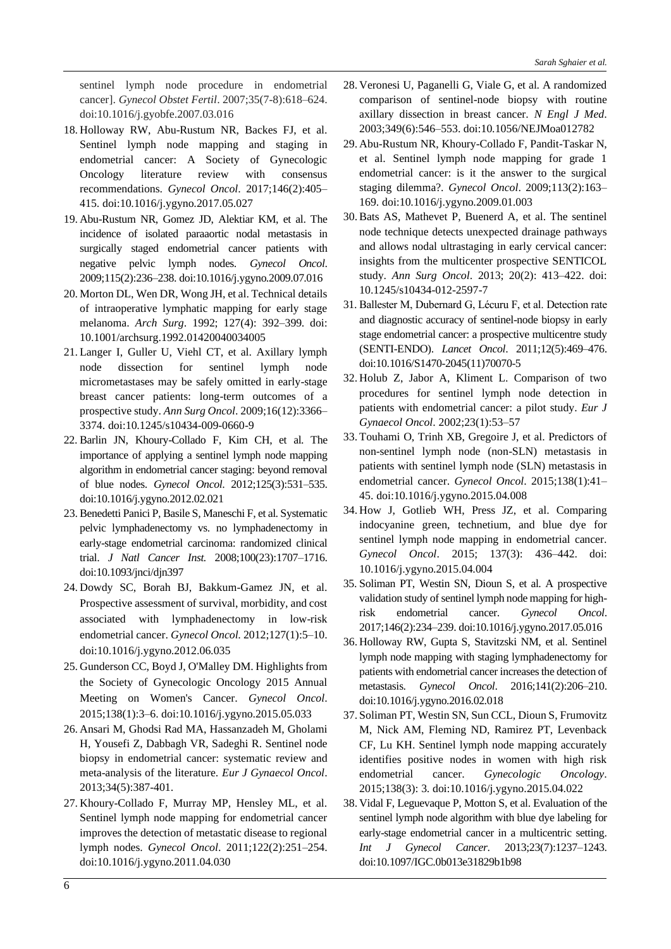sentinel lymph node procedure in endometrial cancer]. *Gynecol Obstet Fertil*. 2007;35(7-8):618–624. doi:10.1016/j.gyobfe.2007.03.016

- 18. Holloway RW, Abu-Rustum NR, Backes FJ, et al. Sentinel lymph node mapping and staging in endometrial cancer: A Society of Gynecologic Oncology literature review with consensus recommendations. *Gynecol Oncol*. 2017;146(2):405– 415. doi:10.1016/j.ygyno.2017.05.027
- 19. Abu-Rustum NR, Gomez JD, Alektiar KM, et al. The incidence of isolated paraaortic nodal metastasis in surgically staged endometrial cancer patients with negative pelvic lymph nodes. *Gynecol Oncol*. 2009;115(2):236–238. doi:10.1016/j.ygyno.2009.07.016
- 20. Morton DL, Wen DR, Wong JH, et al. Technical details of intraoperative lymphatic mapping for early stage melanoma. *Arch Surg*. 1992; 127(4): 392–399. doi: 10.1001/archsurg.1992.01420040034005
- 21. Langer I, Guller U, Viehl CT, et al. Axillary lymph node dissection for sentinel lymph node micrometastases may be safely omitted in early-stage breast cancer patients: long-term outcomes of a prospective study. *Ann Surg Oncol*. 2009;16(12):3366– 3374. doi:10.1245/s10434-009-0660-9
- 22. Barlin JN, Khoury-Collado F, Kim CH, et al. The importance of applying a sentinel lymph node mapping algorithm in endometrial cancer staging: beyond removal of blue nodes. *Gynecol Oncol*. 2012;125(3):531–535. doi:10.1016/j.ygyno.2012.02.021
- 23. Benedetti Panici P, Basile S, Maneschi F, et al. Systematic pelvic lymphadenectomy vs. no lymphadenectomy in early-stage endometrial carcinoma: randomized clinical trial. *J Natl Cancer Inst.* 2008;100(23):1707–1716. doi:10.1093/jnci/djn397
- 24. Dowdy SC, Borah BJ, Bakkum-Gamez JN, et al. Prospective assessment of survival, morbidity, and cost associated with lymphadenectomy in low-risk endometrial cancer. *Gynecol Oncol*. 2012;127(1):5–10. doi:10.1016/j.ygyno.2012.06.035
- 25. Gunderson CC, Boyd J, O'Malley DM. Highlights from the Society of Gynecologic Oncology 2015 Annual Meeting on Women's Cancer. *Gynecol Oncol*. 2015;138(1):3–6. doi:10.1016/j.ygyno.2015.05.033
- 26. Ansari M, Ghodsi Rad MA, Hassanzadeh M, Gholami H, Yousefi Z, Dabbagh VR, Sadeghi R. Sentinel node biopsy in endometrial cancer: systematic review and meta-analysis of the literature. *Eur J Gynaecol Oncol*. 2013;34(5):387-401.
- 27. Khoury-Collado F, Murray MP, Hensley ML, et al. Sentinel lymph node mapping for endometrial cancer improves the detection of metastatic disease to regional lymph nodes. *Gynecol Oncol*. 2011;122(2):251–254. doi:10.1016/j.ygyno.2011.04.030
- 28. Veronesi U, Paganelli G, Viale G, et al. A randomized comparison of sentinel-node biopsy with routine axillary dissection in breast cancer. *N Engl J Med*. 2003;349(6):546–553. doi:10.1056/NEJMoa012782
- 29. Abu-Rustum NR, Khoury-Collado F, Pandit-Taskar N, et al. Sentinel lymph node mapping for grade 1 endometrial cancer: is it the answer to the surgical staging dilemma?. *Gynecol Oncol*. 2009;113(2):163– 169. doi:10.1016/j.ygyno.2009.01.003
- 30. Bats AS, Mathevet P, Buenerd A, et al. The sentinel node technique detects unexpected drainage pathways and allows nodal ultrastaging in early cervical cancer: insights from the multicenter prospective SENTICOL study. *Ann Surg Oncol*. 2013; 20(2): 413–422. doi: 10.1245/s10434-012-2597-7
- 31. Ballester M, Dubernard G, Lécuru F, et al. Detection rate and diagnostic accuracy of sentinel-node biopsy in early stage endometrial cancer: a prospective multicentre study (SENTI-ENDO). *Lancet Oncol*. 2011;12(5):469–476. doi:10.1016/S1470-2045(11)70070-5
- 32. Holub Z, Jabor A, Kliment L. Comparison of two procedures for sentinel lymph node detection in patients with endometrial cancer: a pilot study. *Eur J Gynaecol Oncol*. 2002;23(1):53–57
- 33. Touhami O, Trinh XB, Gregoire J, et al. Predictors of non-sentinel lymph node (non-SLN) metastasis in patients with sentinel lymph node (SLN) metastasis in endometrial cancer. *Gynecol Oncol*. 2015;138(1):41– 45. doi:10.1016/j.ygyno.2015.04.008
- 34. How J, Gotlieb WH, Press JZ, et al. Comparing indocyanine green, technetium, and blue dye for sentinel lymph node mapping in endometrial cancer. *Gynecol Oncol*. 2015; 137(3): 436–442. doi: 10.1016/j.ygyno.2015.04.004
- 35. Soliman PT, Westin SN, Dioun S, et al. A prospective validation study of sentinel lymph node mapping for highrisk endometrial cancer. *Gynecol Oncol*. 2017;146(2):234–239. doi:10.1016/j.ygyno.2017.05.016
- 36. Holloway RW, Gupta S, Stavitzski NM, et al. Sentinel lymph node mapping with staging lymphadenectomy for patients with endometrial cancer increases the detection of metastasis. *Gynecol Oncol*. 2016;141(2):206–210. doi:10.1016/j.ygyno.2016.02.018
- 37.Soliman PT, Westin SN, Sun CCL, Dioun S, Frumovitz M, Nick AM, Fleming ND, Ramirez PT, Levenback CF, Lu KH. Sentinel lymph node mapping accurately identifies positive nodes in women with high risk endometrial cancer. *Gynecologic Oncology*. 2015;138(3): 3. doi:10.1016/j.ygyno.2015.04.022
- 38. Vidal F, Leguevaque P, Motton S, et al. Evaluation of the sentinel lymph node algorithm with blue dye labeling for early-stage endometrial cancer in a multicentric setting. *Int J Gynecol Cancer*. 2013;23(7):1237–1243. doi:10.1097/IGC.0b013e31829b1b98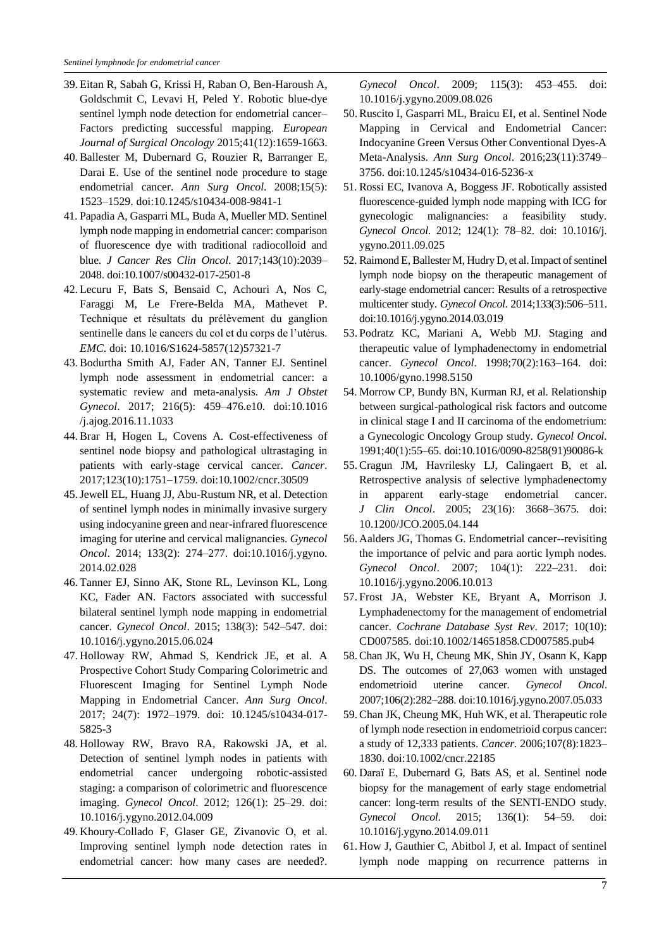- 39. Eitan R, Sabah G, Krissi H, Raban O, Ben-Haroush A, Goldschmit C, Levavi H, Peled Y. Robotic blue-dye sentinel lymph node detection for endometrial cancer– Factors predicting successful mapping. *European Journal of Surgical Oncology* 2015;41(12):1659-1663.
- 40. Ballester M, Dubernard G, Rouzier R, Barranger E, Darai E. Use of the sentinel node procedure to stage endometrial cancer. *Ann Surg Oncol*. 2008;15(5): 1523–1529. doi:10.1245/s10434-008-9841-1
- 41. Papadia A, Gasparri ML, Buda A, Mueller MD. Sentinel lymph node mapping in endometrial cancer: comparison of fluorescence dye with traditional radiocolloid and blue. *J Cancer Res Clin Oncol*. 2017;143(10):2039– 2048. doi:10.1007/s00432-017-2501-8
- 42. Lecuru F, Bats S, Bensaid C, Achouri A, Nos C, Faraggi M, Le Frere-Belda MA, Mathevet P. Technique et résultats du prélèvement du ganglion sentinelle dans le cancers du col et du corps de l'utérus. *EMC*. doi: 10.1016/S1624-5857(12)57321-7
- 43. Bodurtha Smith AJ, Fader AN, Tanner EJ. Sentinel lymph node assessment in endometrial cancer: a systematic review and meta-analysis. *Am J Obstet Gynecol*. 2017; 216(5): 459–476.e10. doi:10.1016 /j.ajog.2016.11.1033
- 44. Brar H, Hogen L, Covens A. Cost-effectiveness of sentinel node biopsy and pathological ultrastaging in patients with early-stage cervical cancer. *Cancer*. 2017;123(10):1751–1759. doi:10.1002/cncr.30509
- 45.Jewell EL, Huang JJ, Abu-Rustum NR, et al. Detection of sentinel lymph nodes in minimally invasive surgery using indocyanine green and near-infrared fluorescence imaging for uterine and cervical malignancies. *Gynecol Oncol*. 2014; 133(2): 274–277. doi:10.1016/j.ygyno. 2014.02.028
- 46. Tanner EJ, Sinno AK, Stone RL, Levinson KL, Long KC, Fader AN. Factors associated with successful bilateral sentinel lymph node mapping in endometrial cancer. *Gynecol Oncol*. 2015; 138(3): 542–547. doi: 10.1016/j.ygyno.2015.06.024
- 47. Holloway RW, Ahmad S, Kendrick JE, et al. A Prospective Cohort Study Comparing Colorimetric and Fluorescent Imaging for Sentinel Lymph Node Mapping in Endometrial Cancer. *Ann Surg Oncol*. 2017; 24(7): 1972–1979. doi: 10.1245/s10434-017- 5825-3
- 48. Holloway RW, Bravo RA, Rakowski JA, et al. Detection of sentinel lymph nodes in patients with endometrial cancer undergoing robotic-assisted staging: a comparison of colorimetric and fluorescence imaging. *Gynecol Oncol*. 2012; 126(1): 25–29. doi: 10.1016/j.ygyno.2012.04.009
- 49. Khoury-Collado F, Glaser GE, Zivanovic O, et al. Improving sentinel lymph node detection rates in endometrial cancer: how many cases are needed?.

*Gynecol Oncol*. 2009; 115(3): 453–455. doi: 10.1016/j.ygyno.2009.08.026

- 50. Ruscito I, Gasparri ML, Braicu EI, et al. Sentinel Node Mapping in Cervical and Endometrial Cancer: Indocyanine Green Versus Other Conventional Dyes-A Meta-Analysis. *Ann Surg Oncol*. 2016;23(11):3749– 3756. doi:10.1245/s10434-016-5236-x
- 51. Rossi EC, Ivanova A, Boggess JF. Robotically assisted fluorescence-guided lymph node mapping with ICG for gynecologic malignancies: a feasibility study. *Gynecol Oncol*. 2012; 124(1): 78–82. doi: 10.1016/j. ygyno.2011.09.025
- 52. Raimond E, Ballester M, Hudry D, et al. Impact of sentinel lymph node biopsy on the therapeutic management of early-stage endometrial cancer: Results of a retrospective multicenter study. *Gynecol Oncol*. 2014;133(3):506–511. doi:10.1016/j.ygyno.2014.03.019
- 53.Podratz KC, Mariani A, Webb MJ. Staging and therapeutic value of lymphadenectomy in endometrial cancer. *Gynecol Oncol*. 1998;70(2):163–164. doi: 10.1006/gyno.1998.5150
- 54. Morrow CP, Bundy BN, Kurman RJ, et al. Relationship between surgical-pathological risk factors and outcome in clinical stage I and II carcinoma of the endometrium: a Gynecologic Oncology Group study. *Gynecol Oncol*. 1991;40(1):55–65. doi:10.1016/0090-8258(91)90086-k
- 55. Cragun JM, Havrilesky LJ, Calingaert B, et al. Retrospective analysis of selective lymphadenectomy in apparent early-stage endometrial cancer. *J Clin Oncol*. 2005; 23(16): 3668–3675. doi: 10.1200/JCO.2005.04.144
- 56. Aalders JG, Thomas G. Endometrial cancer--revisiting the importance of pelvic and para aortic lymph nodes. *Gynecol Oncol*. 2007; 104(1): 222–231. doi: 10.1016/j.ygyno.2006.10.013
- 57.Frost JA, Webster KE, Bryant A, Morrison J. Lymphadenectomy for the management of endometrial cancer. *Cochrane Database Syst Rev*. 2017; 10(10): CD007585. doi:10.1002/14651858.CD007585.pub4
- 58. Chan JK, Wu H, Cheung MK, Shin JY, Osann K, Kapp DS. The outcomes of 27,063 women with unstaged endometrioid uterine cancer. *Gynecol Oncol*. 2007;106(2):282–288. doi:10.1016/j.ygyno.2007.05.033
- 59. Chan JK, Cheung MK, Huh WK, et al. Therapeutic role of lymph node resection in endometrioid corpus cancer: a study of 12,333 patients. *Cancer*. 2006;107(8):1823– 1830. doi:10.1002/cncr.22185
- 60. Daraï E, Dubernard G, Bats AS, et al. Sentinel node biopsy for the management of early stage endometrial cancer: long-term results of the SENTI-ENDO study. *Gynecol Oncol*. 2015; 136(1): 54–59. doi: 10.1016/j.ygyno.2014.09.011
- 61. How J, Gauthier C, Abitbol J, et al. Impact of sentinel lymph node mapping on recurrence patterns in